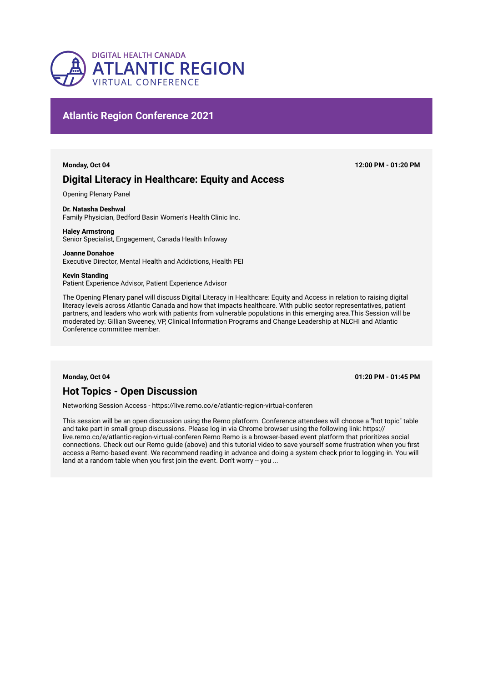

## **Atlantic Region Conference 2021**

# **Digital Literacy in Healthcare: Equity and Access**

Opening Plenary Panel

## **Dr. Natasha Deshwal**

Family Physician, Bedford Basin Women's Health Clinic Inc.

## **Haley Armstrong**

Senior Specialist, Engagement, Canada Health Infoway

### **Joanne Donahoe**  Executive Director, Mental Health and Addictions, Health PEI

**Kevin Standing**  Patient Experience Advisor, Patient Experience Advisor

The Opening Plenary panel will discuss Digital Literacy in Healthcare: Equity and Access in relation to raising digital literacy levels across Atlantic Canada and how that impacts healthcare. With public sector representatives, patient partners, and leaders who work with patients from vulnerable populations in this emerging area.This Session will be moderated by: Gillian Sweeney, VP, Clinical Information Programs and Change Leadership at NLCHI and Atlantic Conference committee member.

**Monday, Oct 04 01:20 PM - 01:45 PM**

# **Hot Topics - Open Discussion**

Networking Session Access - https://live.remo.co/e/atlantic-region-virtual-conferen

This session will be an open discussion using the Remo platform. Conference attendees will choose a "hot topic" table and take part in small group discussions. Please log in via Chrome browser using the following link: https:// live.remo.co/e/atlantic-region-virtual-conferen Remo Remo is a browser-based event platform that prioritizes social connections. Check out our Remo guide (above) and this tutorial video to save yourself some frustration when you first access a Remo-based event. We recommend reading in advance and doing a system check prior to logging-in. You will land at a random table when you first join the event. Don't worry -- you ...

**Monday, Oct 04 12:00 PM - 01:20 PM**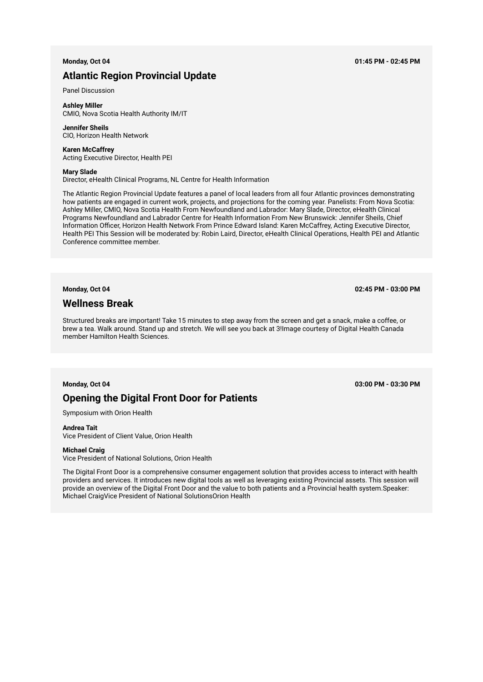## **Atlantic Region Provincial Update**

Panel Discussion

**Ashley Miller**  CMIO, Nova Scotia Health Authority IM/IT

## **Jennifer Sheils**  CIO, Horizon Health Network

**Karen McCaffrey**  Acting Executive Director, Health PEI

### **Mary Slade**

Director, eHealth Clinical Programs, NL Centre for Health Information

The Atlantic Region Provincial Update features a panel of local leaders from all four Atlantic provinces demonstrating how patients are engaged in current work, projects, and projections for the coming year. Panelists: From Nova Scotia: Ashley Miller, CMIO, Nova Scotia Health From Newfoundland and Labrador: Mary Slade, Director, eHealth Clinical Programs Newfoundland and Labrador Centre for Health Information From New Brunswick: Jennifer Sheils, Chief Information Officer, Horizon Health Network From Prince Edward Island: Karen McCaffrey, Acting Executive Director, Health PEI This Session will be moderated by: Robin Laird, Director, eHealth Clinical Operations, Health PEI and Atlantic Conference committee member.

**Monday, Oct 04 02:45 PM - 03:00 PM**

## **Wellness Break**

Structured breaks are important! Take 15 minutes to step away from the screen and get a snack, make a coffee, or brew a tea. Walk around. Stand up and stretch. We will see you back at 3!Image courtesy of Digital Health Canada member Hamilton Health Sciences.

# **Opening the Digital Front Door for Patients**

Symposium with Orion Health

## **Andrea Tait**

Vice President of Client Value, Orion Health

## **Michael Craig**

Vice President of National Solutions, Orion Health

The Digital Front Door is a comprehensive consumer engagement solution that provides access to interact with health providers and services. It introduces new digital tools as well as leveraging existing Provincial assets. This session will provide an overview of the Digital Front Door and the value to both patients and a Provincial health system.Speaker: Michael CraigVice President of National SolutionsOrion Health

**Monday, Oct 04 03:00 PM - 03:30 PM**

**Monday, Oct 04 01:45 PM - 02:45 PM**